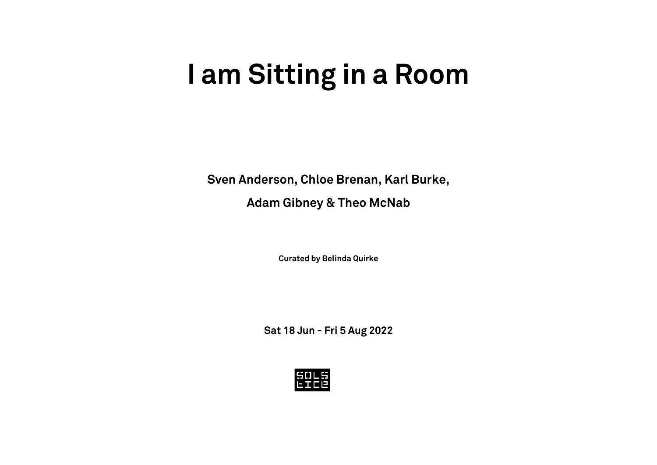# **I am Sitting in a Room**

**Sven Anderson, Chloe Brenan, Karl Burke,**

**Adam Gibney & Theo McNab**

**Curated by Belinda Quirke**

**Sat 18 Jun - Fri 5 Aug 2022**

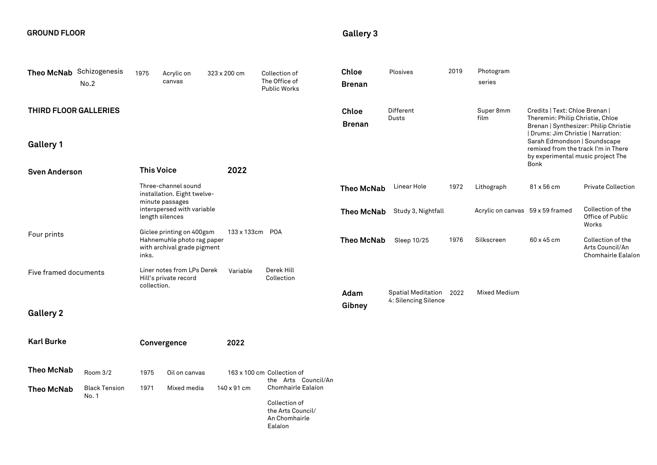### **GROUND FLOOR**

## **Gallery 3**

| Theo McNab Schizogenesis | No.2                          | 1975                                                                  | Acrylic on<br>canvas                                                                   | 323 x 200 cm    | Collection of<br>The Office of<br><b>Public Works</b>                                | <b>Chloe</b><br><b>Brenan</b> | Plosives                                        | 2019              | Photogram<br>series                                                                                                                                                                                                                                                   |            |                                                            |
|--------------------------|-------------------------------|-----------------------------------------------------------------------|----------------------------------------------------------------------------------------|-----------------|--------------------------------------------------------------------------------------|-------------------------------|-------------------------------------------------|-------------------|-----------------------------------------------------------------------------------------------------------------------------------------------------------------------------------------------------------------------------------------------------------------------|------------|------------------------------------------------------------|
| THIRD FLOOR GALLERIES    | <b>This Voice</b>             |                                                                       |                                                                                        |                 | <b>Chloe</b><br><b>Brenan</b>                                                        | Different<br><b>Dusts</b>     |                                                 | Super 8mm<br>film | Credits   Text: Chloe Brenan  <br>Theremin: Philip Christie, Chloe<br>Brenan   Synthesizer: Philip Christie<br>  Drums: Jim Christie   Narration:<br>Sarah Edmondson   Soundscape<br>remixed from the track I'm in There<br>by experimental music project The<br>Bonk |            |                                                            |
| <b>Gallery 1</b>         |                               |                                                                       |                                                                                        |                 |                                                                                      |                               |                                                 |                   |                                                                                                                                                                                                                                                                       |            |                                                            |
| <b>Sven Anderson</b>     |                               |                                                                       |                                                                                        | 2022            |                                                                                      |                               |                                                 |                   |                                                                                                                                                                                                                                                                       |            |                                                            |
|                          |                               | Three-channel sound<br>installation. Eight twelve-<br>minute passages |                                                                                        |                 |                                                                                      | <b>Theo McNab</b>             | Linear Hole                                     | 1972              | Lithograph                                                                                                                                                                                                                                                            | 81 x 56 cm | <b>Private Collection</b>                                  |
|                          |                               |                                                                       | interspersed with variable<br>length silences                                          |                 |                                                                                      | <b>Theo McNab</b>             | Study 3, Nightfall                              |                   | Acrylic on canvas 59 x 59 framed                                                                                                                                                                                                                                      |            | Collection of the<br>Office of Public<br>Works             |
| Four prints              |                               | inks.                                                                 | Giclee printing on 400gsm<br>Hahnemuhle photo rag paper<br>with archival grade pigment | 133 x 133cm POA |                                                                                      | <b>Theo McNab</b>             | Sleep 10/25                                     | 1976              | Silkscreen                                                                                                                                                                                                                                                            | 60 x 45 cm | Collection of the<br>Arts Council/An<br>Chomhairle Ealaíon |
| Five framed documents    |                               | Liner notes from LPs Derek<br>Hill's private record<br>collection.    |                                                                                        | Variable        | Derek Hill<br>Collection                                                             |                               |                                                 |                   |                                                                                                                                                                                                                                                                       |            |                                                            |
| <b>Gallery 2</b>         |                               |                                                                       |                                                                                        |                 |                                                                                      | Adam<br>Gibney                | Spatial Meditation 2022<br>4: Silencing Silence |                   | <b>Mixed Medium</b>                                                                                                                                                                                                                                                   |            |                                                            |
|                          |                               |                                                                       |                                                                                        |                 |                                                                                      |                               |                                                 |                   |                                                                                                                                                                                                                                                                       |            |                                                            |
| <b>Karl Burke</b>        |                               |                                                                       | Convergence                                                                            | 2022            |                                                                                      |                               |                                                 |                   |                                                                                                                                                                                                                                                                       |            |                                                            |
| <b>Theo McNab</b>        | Room 3/2                      | 1975                                                                  | Oil on canvas                                                                          |                 | 163 x 100 cm Collection of<br>the Arts Council/An                                    |                               |                                                 |                   |                                                                                                                                                                                                                                                                       |            |                                                            |
| <b>Theo McNab</b>        | <b>Black Tension</b><br>No. 1 | 1971                                                                  | Mixed media                                                                            | 140 x 91 cm     | Chomhairle Ealaíon<br>Collection of<br>the Arts Council/<br>An Chomhairle<br>Ealaíon |                               |                                                 |                   |                                                                                                                                                                                                                                                                       |            |                                                            |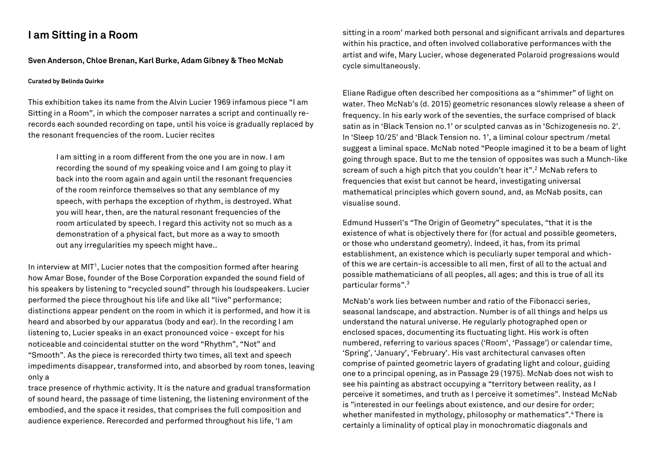## **I am Sitting in a Room**

#### **Sven Anderson, Chloe Brenan, Karl Burke, Adam Gibney & Theo McNab**

#### **Curated by Belinda Quirke**

This exhibition takes its name from the Alvin Lucier 1969 infamous piece "I am Sitting in a Room", in which the composer narrates a script and continually rerecords each sounded recording on tape, until his voice is gradually replaced by the resonant frequencies of the room. Lucier recites

I am sitting in a room different from the one you are in now. I am recording the sound of my speaking voice and I am going to play it back into the room again and again until the resonant frequencies of the room reinforce themselves so that any semblance of my speech, with perhaps the exception of rhythm, is destroyed. What you will hear, then, are the natural resonant frequencies of the room articulated by speech. I regard this activity not so much as a demonstration of a physical fact, but more as a way to smooth out any irregularities my speech might have..

In interview at MIT<sup>1</sup>, Lucier notes that the composition formed after hearing how Amar Bose, founder of the Bose Corporation expanded the sound field of his speakers by listening to "recycled sound" through his loudspeakers. Lucier performed the piece throughout his life and like all "live" performance; distinctions appear pendent on the room in which it is performed, and how it is heard and absorbed by our apparatus (body and ear). In the recording I am listening to, Lucier speaks in an exact pronounced voice - except for his noticeable and coincidental stutter on the word "Rhythm", "Not" and "Smooth". As the piece is rerecorded thirty two times, all text and speech impediments disappear, transformed into, and absorbed by room tones, leaving only a

trace presence of rhythmic activity. It is the nature and gradual transformation of sound heard, the passage of time listening, the listening environment of the embodied, and the space it resides, that comprises the full composition and audience experience. Rerecorded and performed throughout his life, 'I am

sitting in a room' marked both personal and significant arrivals and departures within his practice, and often involved collaborative performances with the artist and wife, Mary Lucier, whose degenerated Polaroid progressions would cycle simultaneously.

Eliane Radigue often described her compositions as a "shimmer" of light on water. Theo McNab's (d. 2015) geometric resonances slowly release a sheen of frequency. In his early work of the seventies, the surface comprised of black satin as in 'Black Tension no.1' or sculpted canvas as in 'Schizogenesis no. 2'. In 'Sleep 10/25' and 'Black Tension no. 1', a liminal colour spectrum /metal suggest a liminal space. McNab noted "People imagined it to be a beam of light going through space. But to me the tension of opposites was such a Munch-like scream of such a high pitch that you couldn't hear it".<sup>2</sup> McNab refers to frequencies that exist but cannot be heard, investigating universal mathematical principles which govern sound, and, as McNab posits, can visualise sound.

Edmund Husserl's "The Origin of Geometry" speculates, "that it is the existence of what is objectively there for (for actual and possible geometers, or those who understand geometry). Indeed, it has, from its primal establishment, an existence which is peculiarly super temporal and whichof this we are certain-is accessible to all men, first of all to the actual and possible mathematicians of all peoples, all ages; and this is true of all its particular forms".3

McNab's work lies between number and ratio of the Fibonacci series, seasonal landscape, and abstraction. Number is of all things and helps us understand the natural universe. He regularly photographed open or enclosed spaces, documenting its fluctuating light. His work is often numbered, referring to various spaces ('Room', 'Passage') or calendar time, 'Spring', 'January', 'February'. His vast architectural canvases often comprise of painted geometric layers of gradating light and colour, guiding one to a principal opening, as in Passage 29 (1975). McNab does not wish to see his painting as abstract occupying a "territory between reality, as I perceive it sometimes, and truth as I perceive it sometimes". Instead McNab is "interested in our feelings about existence, and our desire for order; whether manifested in mythology, philosophy or mathematics". <sup>4</sup> There is certainly a liminality of optical play in monochromatic diagonals and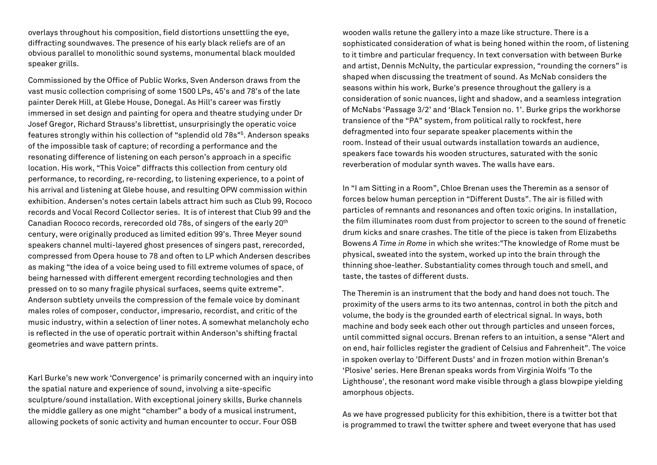overlays throughout his composition, field distortions unsettling the eye, diffracting soundwaves. The presence of his early black reliefs are of an obvious parallel to monolithic sound systems, monumental black moulded speaker grills.

Commissioned by the Office of Public Works, Sven Anderson draws from the vast music collection comprising of some 1500 LPs, 45's and 78's of the late painter Derek Hill, at Glebe House, Donegal. As Hill's career was firstly immersed in set design and painting for opera and theatre studying under Dr Josef Gregor, Richard Strauss's librettist, unsurprisingly the operatic voice features strongly within his collection of "splendid old 78s"5. Anderson speaks of the impossible task of capture; of recording a performance and the resonating difference of listening on each person's approach in a specific location. His work, "This Voice" diffracts this collection from century old performance, to recording, re-recording, to listening experience, to a point of his arrival and listening at Glebe house, and resulting OPW commission within exhibition. Andersen's notes certain labels attract him such as Club 99, Rococo records and Vocal Record Collector series. It is of interest that Club 99 and the Canadian Rococo records, rerecorded old 78s, of singers of the early 20th century, were originally produced as limited edition 99's. Three Meyer sound speakers channel multi-layered ghost presences of singers past, rerecorded, compressed from Opera house to 78 and often to LP which Andersen describes as making "the idea of a voice being used to fill extreme volumes of space, of being harnessed with different emergent recording technologies and then pressed on to so many fragile physical surfaces, seems quite extreme". Anderson subtlety unveils the compression of the female voice by dominant males roles of composer, conductor, impresario, recordist, and critic of the music industry, within a selection of liner notes. A somewhat melancholy echo is reflected in the use of operatic portrait within Anderson's shifting fractal geometries and wave pattern prints.

Karl Burke's new work 'Convergence' is primarily concerned with an inquiry into the spatial nature and experience of sound, involving a site-specific sculpture/sound installation. With exceptional joinery skills, Burke channels the middle gallery as one might "chamber" a body of a musical instrument, allowing pockets of sonic activity and human encounter to occur. Four OSB

wooden walls retune the gallery into a maze like structure. There is a sophisticated consideration of what is being honed within the room, of listening to it timbre and particular frequency. In text conversation with between Burke and artist, Dennis McNulty, the particular expression, "rounding the corners" is shaped when discussing the treatment of sound. As McNab considers the seasons within his work, Burke's presence throughout the gallery is a consideration of sonic nuances, light and shadow, and a seamless integration of McNabs 'Passage 3/2' and 'Black Tension no. 1'. Burke grips the workhorse transience of the "PA" system, from political rally to rockfest, here defragmented into four separate speaker placements within the room. Instead of their usual outwards installation towards an audience, speakers face towards his wooden structures, saturated with the sonic reverberation of modular synth waves. The walls have ears.

In "I am Sitting in a Room", Chloe Brenan uses the Theremin as a sensor of forces below human perception in "Different Dusts". The air is filled with particles of remnants and resonances and often toxic origins. In installation, the film illuminates room dust from projector to screen to the sound of frenetic drum kicks and snare crashes. The title of the piece is taken from Elizabeths Bowens *A Time in Rome* in which she writes:"The knowledge of Rome must be physical, sweated into the system, worked up into the brain through the thinning shoe-leather. Substantiality comes through touch and smell, and taste, the tastes of different dusts.

The Theremin is an instrument that the body and hand does not touch. The proximity of the users arms to its two antennas, control in both the pitch and volume, the body is the grounded earth of electrical signal. In ways, both machine and body seek each other out through particles and unseen forces, until committed signal occurs. Brenan refers to an intuition, a sense "Alert and on end, hair follicles register the gradient of Celsius and Fahrenheit". The voice in spoken overlay to 'Different Dusts' and in frozen motion within Brenan's 'Plosive' series. Here Brenan speaks words from Virginia Wolfs 'To the Lighthouse', the resonant word make visible through a glass blowpipe yielding amorphous objects.

As we have progressed publicity for this exhibition, there is a twitter bot that is programmed to trawl the twitter sphere and tweet everyone that has used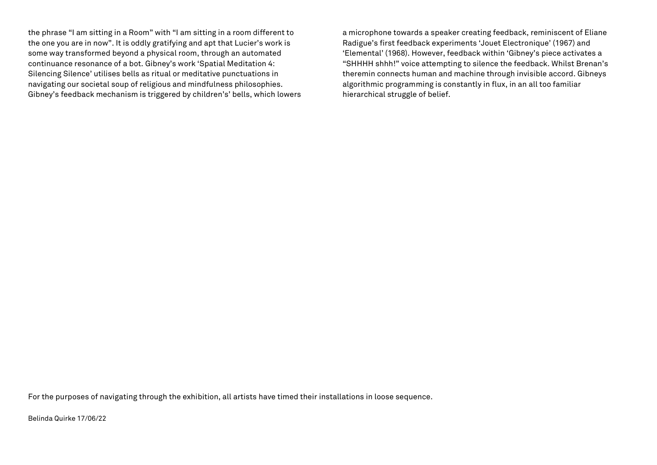the phrase "I am sitting in a Room" with "I am sitting in a room different to the one you are in now". It is oddly gratifying and apt that Lucier's work is some way transformed beyond a physical room, through an automated continuance resonance of a bot. Gibney's work 'Spatial Meditation 4: Silencing Silence' utilises bells as ritual or meditative punctuations in navigating our societal soup of religious and mindfulness philosophies. Gibney's feedback mechanism is triggered by children's' bells, which lowers

a microphone towards a speaker creating feedback, reminiscent of Eliane Radigue's first feedback experiments 'Jouet Electronique' (1967) and 'Elemental' (1968). However, feedback within 'Gibney's piece activates a "SHHHH shhh!" voice attempting to silence the feedback. Whilst Brenan's theremin connects human and machine through invisible accord. Gibneys algorithmic programming is constantly in flux, in an all too familiar hierarchical struggle of belief.

For the purposes of navigating through the exhibition, all artists have timed their installations in loose sequence.

Belinda Quirke 17/06/22